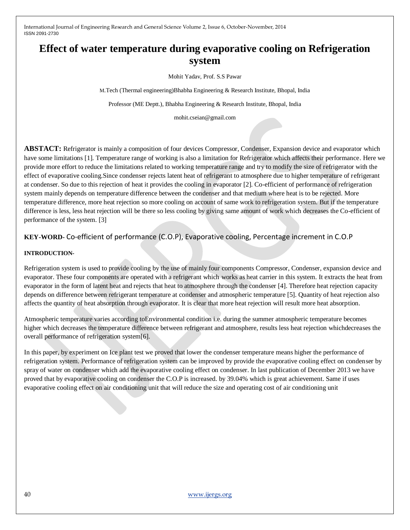# **Effect of water temperature during evaporative cooling on Refrigeration system**

Mohit Yadav, Prof. S.S Pawar

M.Tech (Thermal engineering)Bhabha Engineering & Research Institute, Bhopal, India

Professor (ME Deptt.), Bhabha Engineering & Research Institute, Bhopal, India

mohit.cseian@gmail.com

**ABSTACT:** Refrigerator is mainly a composition of four devices Compressor, Condenser, Expansion device and evaporator which have some limitations [1]. Temperature range of working is also a limitation for Refrigerator which affects their performance. Here we provide more effort to reduce the limitations related to working temperature range and try to modify the size of refrigerator with the effect of evaporative cooling.Since condenser rejects latent heat of refrigerant to atmosphere due to higher temperature of refrigerant at condenser. So due to this rejection of heat it provides the cooling in evaporator [2]. Co-efficient of performance of refrigeration system mainly depends on temperature difference between the condenser and that medium where heat is to be rejected. More temperature difference, more heat rejection so more cooling on account of same work to refrigeration system. But if the temperature difference is less, less heat rejection will be there so less cooling by giving same amount of work which decreases the Co-efficient of performance of the system. [3]

**KEY-WORD-** Co-efficient of performance (C.O.P), Evaporative cooling, Percentage increment in C.O.P

#### **INTRODUCTION-**

Refrigeration system is used to provide cooling by the use of mainly four components Compressor, Condenser, expansion device and evaporator. These four components are operated with a refrigerant which works as heat carrier in this system. It extracts the heat from evaporator in the form of latent heat and rejects that heat to atmosphere through the condenser [4]. Therefore heat rejection capacity depends on difference between refrigerant temperature at condenser and atmospheric temperature [5]. Quantity of heat rejection also affects the quantity of heat absorption through evaporator. It is clear that more heat rejection will result more heat absorption.

Atmospheric temperature varies according toEnvironmental condition i.e. during the summer atmospheric temperature becomes higher which decreases the temperature difference between refrigerant and atmosphere, results less heat rejection whichdecreases the overall performance of refrigeration system[6].

In this paper, by experiment on Ice plant test we proved that lower the condenser temperature means higher the performance of refrigeration system. Performance of refrigeration system can be improved by provide the evaporative cooling effect on condenser by spray of water on condenser which add the evaporative cooling effect on condenser. In last publication of December 2013 we have proved that by evaporative cooling on condenser the C.O.P is increased. by 39.04% which is great achievement. Same if uses evaporative cooling effect on air conditioning unit that will reduce the size and operating cost of air conditioning unit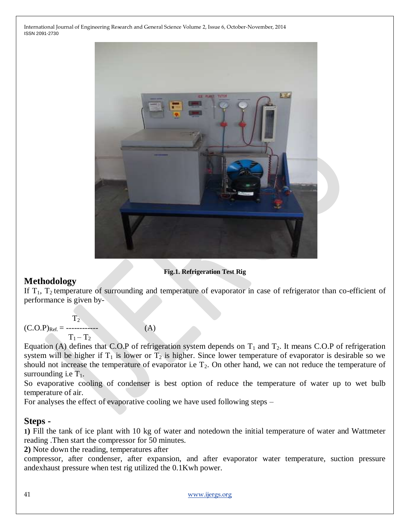

#### **Fig.1. Refrigeration Test Rig**

### **Methodology**

If  $T_1$ ,  $T_2$  temperature of surrounding and temperature of evaporator in case of refrigerator than co-efficient of performance is given by-

 $T_2$ (C.O.P)Ref. = ------------ (A)  $T_1 - T_2$ 

Equation (A) defines that C.O.P of refrigeration system depends on  $T_1$  and  $T_2$ . It means C.O.P of refrigeration system will be higher if  $T_1$  is lower or  $T_2$  is higher. Since lower temperature of evaporator is desirable so we should not increase the temperature of evaporator i.e  $T_2$ . On other hand, we can not reduce the temperature of surrounding i.e  $T_1$ .

So evaporative cooling of condenser is best option of reduce the temperature of water up to wet bulb temperature of air.

For analyses the effect of evaporative cooling we have used following steps –

### **Steps -**

**1)** Fill the tank of ice plant with 10 kg of water and notedown the initial temperature of water and Wattmeter reading .Then start the compressor for 50 minutes.

**2)** Note down the reading, temperatures after

compressor, after condenser, after expansion, and after evaporator water temperature, suction pressure andexhaust pressure when test rig utilized the 0.1Kwh power.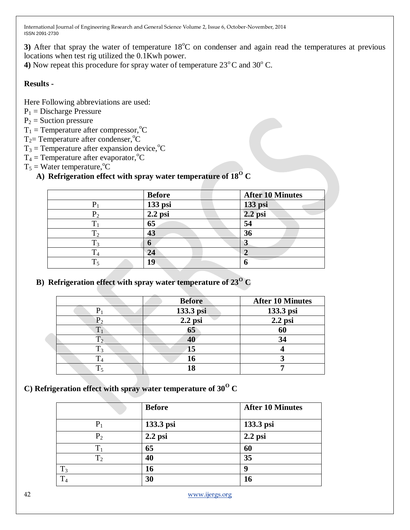**3)** After that spray the water of temperature  $18^{\circ}$ C on condenser and again read the temperatures at previous locations when test rig utilized the 0.1Kwh power.

**4)** Now repeat this procedure for spray water of temperature  $23^{\circ}$ C and  $30^{\circ}$  C.

#### **Results -**

Here Following abbreviations are used:

- $P_1$  = Discharge Pressure
- $P_2$  = Suction pressure
- $T_1$  = Temperature after compressor, <sup>o</sup>C
- $T_2$ = Temperature after condenser, °C
- $T_3$  = Temperature after expansion device, <sup>o</sup>C
- $T_4$  = Temperature after evaporator, °C
- $T_5$  = Water temperature, <sup>o</sup>C

## A) **Refrigeration effect with spray water temperature of**  $18^{0}$  **C**

|       | <b>Before</b> | <b>After 10 Minutes</b> |
|-------|---------------|-------------------------|
|       | 133 psi       | 133 psi                 |
| $P_2$ | $2.2$ psi     | $2.2$ psi               |
|       | 65            | 54                      |
|       | 43            | 36                      |
|       | n             | لہ                      |
|       | 24            |                         |
|       | 19            |                         |

**B**) **Refrigeration effect with spray water temperature of**  $23^{\circ}$  **<b>C** 

|       | <b>Before</b> | <b>After 10 Minutes</b> |
|-------|---------------|-------------------------|
|       |               |                         |
|       | 133.3 psi     | 133.3 psi               |
|       | $2.2$ psi     | $2.2$ psi               |
| $T_1$ | 65            | 60                      |
|       | 40            | 34                      |
|       | 15            |                         |
|       |               |                         |
|       |               |                         |

### **C)** Refrigeration effect with spray water temperature of  $30^{\circ}$  C

|                | <b>Before</b> | <b>After 10 Minutes</b> |
|----------------|---------------|-------------------------|
| $P_1$          | 133.3 psi     | 133.3 psi               |
| P <sub>2</sub> | $2.2$ psi     | $2.2$ psi               |
| $\rm T_1$      | 65            | 60                      |
| T <sub>2</sub> | 40            | 35                      |
| $T_3$          | 16            | 9                       |
| $T_4$          | 30            | 16                      |